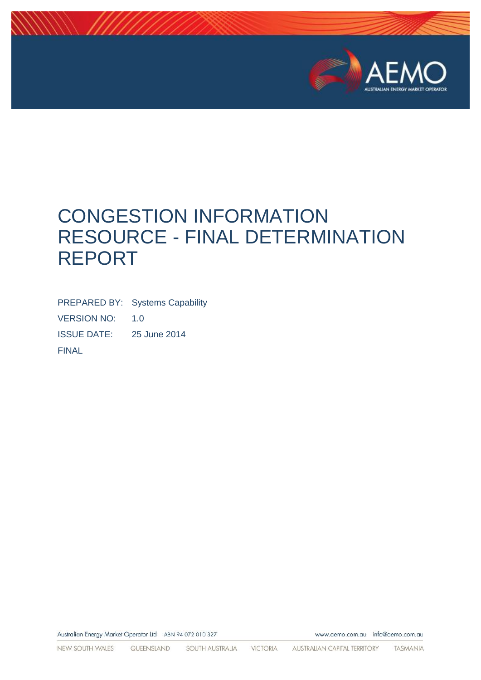

www.aemo.com.au info@aemo.com.au

# CONGESTION INFORMATION RESOURCE - FINAL DETERMINATION REPORT

PREPARED BY: Systems Capability VERSION NO: 1.0 ISSUE DATE: 25 June 2014 FINAL

Australian Energy Market Operator Ltd ABN 94 072 010 327

NEW SOUTH WALES QUEENSLAND SOUTH AUSTRALIA VICTORIA AUSTRALIAN CAPITAL TERRITORY TASMANIA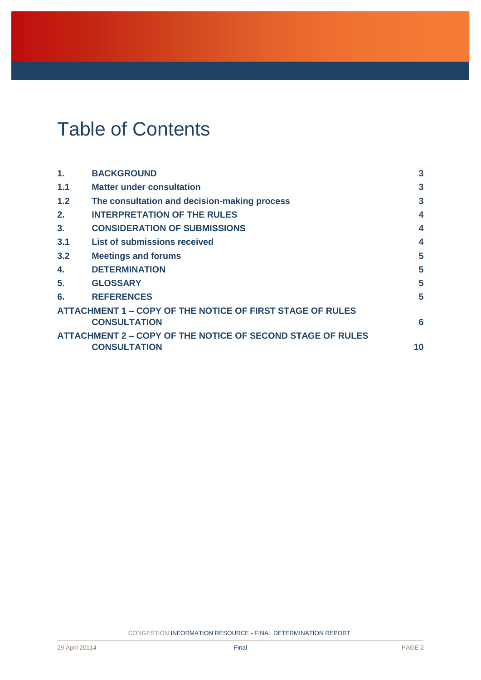# Table of Contents

| <b>BACKGROUND</b>                                                 | $\mathbf{3}$        |
|-------------------------------------------------------------------|---------------------|
| <b>Matter under consultation</b>                                  | $\mathbf{3}$        |
| The consultation and decision-making process                      | 3                   |
| <b>INTERPRETATION OF THE RULES</b>                                | 4                   |
| <b>CONSIDERATION OF SUBMISSIONS</b>                               | 4                   |
| <b>List of submissions received</b>                               | 4                   |
| <b>Meetings and forums</b>                                        | 5                   |
| <b>DETERMINATION</b>                                              | 5                   |
| <b>GLOSSARY</b>                                                   | 5                   |
| <b>REFERENCES</b>                                                 | 5                   |
| <b>ATTACHMENT 1 – COPY OF THE NOTICE OF FIRST STAGE OF RULES</b>  |                     |
| <b>CONSULTATION</b>                                               | 6                   |
| <b>ATTACHMENT 2 – COPY OF THE NOTICE OF SECOND STAGE OF RULES</b> |                     |
|                                                                   | 10                  |
|                                                                   | <b>CONSULTATION</b> |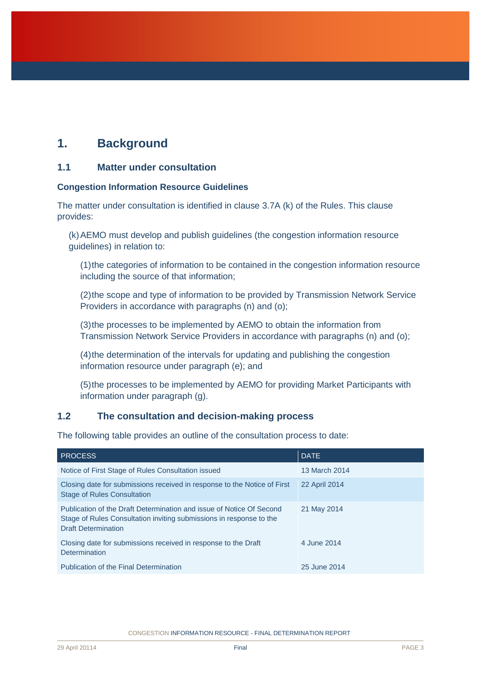# <span id="page-2-0"></span>**1. Background**

## <span id="page-2-1"></span>**1.1 Matter under consultation**

#### **Congestion Information Resource Guidelines**

The matter under consultation is identified in clause 3.7A (k) of the Rules. This clause provides:

(k)AEMO must develop and publish guidelines (the congestion information resource guidelines) in relation to:

(1)the categories of information to be contained in the congestion information resource including the source of that information;

(2)the scope and type of information to be provided by Transmission Network Service Providers in accordance with paragraphs (n) and (o);

(3)the processes to be implemented by AEMO to obtain the information from Transmission Network Service Providers in accordance with paragraphs (n) and (o);

(4)the determination of the intervals for updating and publishing the congestion information resource under paragraph (e); and

(5)the processes to be implemented by AEMO for providing Market Participants with information under paragraph (g).

## <span id="page-2-2"></span>**1.2 The consultation and decision-making process**

The following table provides an outline of the consultation process to date:

| <b>PROCESS</b>                                                                                                                                                            | <b>DATE</b>   |
|---------------------------------------------------------------------------------------------------------------------------------------------------------------------------|---------------|
| Notice of First Stage of Rules Consultation issued                                                                                                                        | 13 March 2014 |
| Closing date for submissions received in response to the Notice of First<br><b>Stage of Rules Consultation</b>                                                            | 22 April 2014 |
| Publication of the Draft Determination and issue of Notice Of Second<br>Stage of Rules Consultation inviting submissions in response to the<br><b>Draft Determination</b> | 21 May 2014   |
| Closing date for submissions received in response to the Draft<br>Determination                                                                                           | 4 June 2014   |
| Publication of the Final Determination                                                                                                                                    | 25 June 2014  |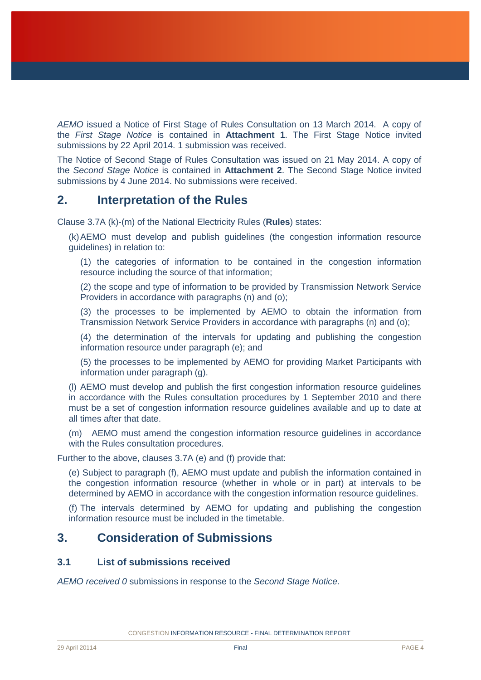*AEMO* issued a Notice of First Stage of Rules Consultation on 13 March 2014. A copy of the *First Stage Notice* is contained in **Attachment 1**. The First Stage Notice invited submissions by 22 April 2014. 1 submission was received.

The Notice of Second Stage of Rules Consultation was issued on 21 May 2014. A copy of the *Second Stage Notice* is contained in **Attachment 2**. The Second Stage Notice invited submissions by 4 June 2014. No submissions were received.

## <span id="page-3-0"></span>**2. Interpretation of the Rules**

Clause 3.7A (k)-(m) of the National Electricity Rules (**Rules**) states:

(k)AEMO must develop and publish guidelines (the congestion information resource guidelines) in relation to:

(1) the categories of information to be contained in the congestion information resource including the source of that information;

(2) the scope and type of information to be provided by Transmission Network Service Providers in accordance with paragraphs (n) and (o);

(3) the processes to be implemented by AEMO to obtain the information from Transmission Network Service Providers in accordance with paragraphs (n) and (o);

(4) the determination of the intervals for updating and publishing the congestion information resource under paragraph (e); and

(5) the processes to be implemented by AEMO for providing Market Participants with information under paragraph (g).

(l) AEMO must develop and publish the first congestion information resource guidelines in accordance with the Rules consultation procedures by 1 September 2010 and there must be a set of congestion information resource guidelines available and up to date at all times after that date.

(m) AEMO must amend the congestion information resource guidelines in accordance with the Rules consultation procedures.

Further to the above, clauses 3.7A (e) and (f) provide that:

(e) Subject to paragraph (f), AEMO must update and publish the information contained in the congestion information resource (whether in whole or in part) at intervals to be determined by AEMO in accordance with the congestion information resource guidelines.

(f) The intervals determined by AEMO for updating and publishing the congestion information resource must be included in the timetable.

## <span id="page-3-1"></span>**3. Consideration of Submissions**

## <span id="page-3-2"></span>**3.1 List of submissions received**

*AEMO received 0* submissions in response to the *Second Stage Notice*.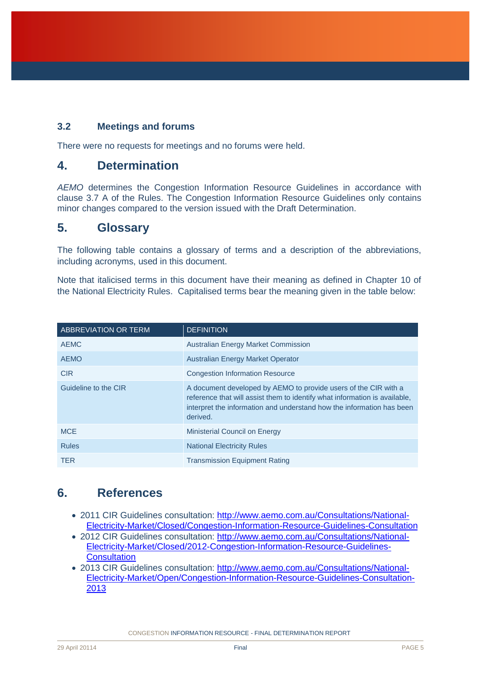## <span id="page-4-0"></span>**3.2 Meetings and forums**

There were no requests for meetings and no forums were held.

## <span id="page-4-1"></span>**4. Determination**

*AEMO* determines the Congestion Information Resource Guidelines in accordance with clause 3.7 A of the Rules. The Congestion Information Resource Guidelines only contains minor changes compared to the version issued with the Draft Determination.

## <span id="page-4-2"></span>**5. Glossary**

The following table contains a glossary of terms and a description of the abbreviations, including acronyms, used in this document.

Note that italicised terms in this document have their meaning as defined in Chapter 10 of the National Electricity Rules. Capitalised terms bear the meaning given in the table below:

| <b>ABBREVIATION OR TERM</b> | <b>DEFINITION</b>                                                                                                                                                                                                                  |
|-----------------------------|------------------------------------------------------------------------------------------------------------------------------------------------------------------------------------------------------------------------------------|
| <b>AEMC</b>                 | <b>Australian Energy Market Commission</b>                                                                                                                                                                                         |
| <b>AEMO</b>                 | <b>Australian Energy Market Operator</b>                                                                                                                                                                                           |
| <b>CIR</b>                  | <b>Congestion Information Resource</b>                                                                                                                                                                                             |
| Guideline to the CIR        | A document developed by AEMO to provide users of the CIR with a<br>reference that will assist them to identify what information is available.<br>interpret the information and understand how the information has been<br>derived. |
| <b>MCE</b>                  | Ministerial Council on Energy                                                                                                                                                                                                      |
| <b>Rules</b>                | <b>National Electricity Rules</b>                                                                                                                                                                                                  |
| <b>TER</b>                  | <b>Transmission Equipment Rating</b>                                                                                                                                                                                               |

# <span id="page-4-3"></span>**6. References**

- 2011 CIR Guidelines consultation: [http://www.aemo.com.au/Consultations/National-](http://www.aemo.com.au/Consultations/National-Electricity-Market/Closed/Congestion-Information-Resource-Guidelines-Consultation)[Electricity-Market/Closed/Congestion-Information-Resource-Guidelines-Consultation](http://www.aemo.com.au/Consultations/National-Electricity-Market/Closed/Congestion-Information-Resource-Guidelines-Consultation)
- 2012 CIR Guidelines consultation: [http://www.aemo.com.au/Consultations/National-](http://www.aemo.com.au/Consultations/National-Electricity-Market/Closed/2012-Congestion-Information-Resource-Guidelines-Consultation)[Electricity-Market/Closed/2012-Congestion-Information-Resource-Guidelines-](http://www.aemo.com.au/Consultations/National-Electricity-Market/Closed/2012-Congestion-Information-Resource-Guidelines-Consultation)**[Consultation](http://www.aemo.com.au/Consultations/National-Electricity-Market/Closed/2012-Congestion-Information-Resource-Guidelines-Consultation)**
- 2013 CIR Guidelines consultation: [http://www.aemo.com.au/Consultations/National-](http://www.aemo.com.au/Consultations/National-Electricity-Market/Open/Congestion-Information-Resource-Guidelines-Consultation-2013)[Electricity-Market/Open/Congestion-Information-Resource-Guidelines-Consultation-](http://www.aemo.com.au/Consultations/National-Electricity-Market/Open/Congestion-Information-Resource-Guidelines-Consultation-2013)[2013](http://www.aemo.com.au/Consultations/National-Electricity-Market/Open/Congestion-Information-Resource-Guidelines-Consultation-2013)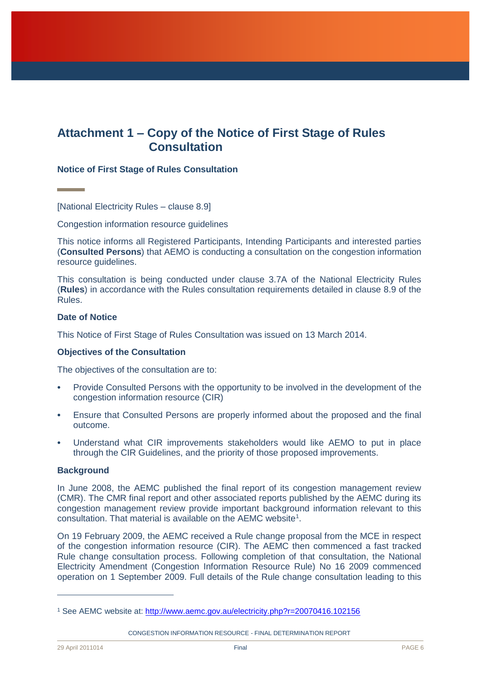## <span id="page-5-0"></span>**Attachment 1 – Copy of the Notice of First Stage of Rules Consultation**

#### **Notice of First Stage of Rules Consultation**

[National Electricity Rules – clause 8.9]

Congestion information resource guidelines

This notice informs all Registered Participants, Intending Participants and interested parties (**Consulted Persons**) that AEMO is conducting a consultation on the congestion information resource guidelines.

This consultation is being conducted under clause 3.7A of the National Electricity Rules (**Rules**) in accordance with the Rules consultation requirements detailed in clause 8.9 of the Rules.

#### **Date of Notice**

This Notice of First Stage of Rules Consultation was issued on 13 March 2014.

#### **Objectives of the Consultation**

The objectives of the consultation are to:

- Provide Consulted Persons with the opportunity to be involved in the development of the congestion information resource (CIR)
- Ensure that Consulted Persons are properly informed about the proposed and the final outcome.
- Understand what CIR improvements stakeholders would like AEMO to put in place through the CIR Guidelines, and the priority of those proposed improvements.

#### **Background**

In June 2008, the AEMC published the final report of its congestion management review (CMR). The CMR final report and other associated reports published by the AEMC during its congestion management review provide important background information relevant to this consultation. That material is available on the AEMC website<sup>1</sup>.

On 19 February 2009, the AEMC received a Rule change proposal from the MCE in respect of the congestion information resource (CIR). The AEMC then commenced a fast tracked Rule change consultation process. Following completion of that consultation, the National Electricity Amendment (Congestion Information Resource Rule) No 16 2009 commenced operation on 1 September 2009. Full details of the Rule change consultation leading to this

CONGESTION INFORMATION RESOURCE - FINAL DETERMINATION REPORT

 $\overline{a}$ 

<sup>&</sup>lt;sup>1</sup> See AEMC website at:<http://www.aemc.gov.au/electricity.php?r=20070416.102156>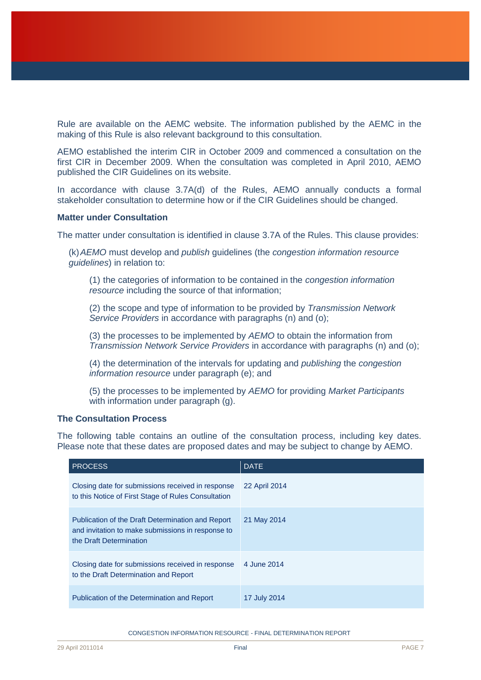Rule are available on the AEMC website. The information published by the AEMC in the making of this Rule is also relevant background to this consultation.

AEMO established the interim CIR in October 2009 and commenced a consultation on the first CIR in December 2009. When the consultation was completed in April 2010, AEMO published the CIR Guidelines on its website.

In accordance with clause 3.7A(d) of the Rules, AEMO annually conducts a formal stakeholder consultation to determine how or if the CIR Guidelines should be changed.

#### **Matter under Consultation**

The matter under consultation is identified in clause 3.7A of the Rules. This clause provides:

(k)*AEMO* must develop and *publish* guidelines (the *congestion information resource guidelines*) in relation to:

(1) the categories of information to be contained in the *congestion information resource* including the source of that information;

(2) the scope and type of information to be provided by *Transmission Network Service Providers* in accordance with paragraphs (n) and (o);

(3) the processes to be implemented by *AEMO* to obtain the information from *Transmission Network Service Providers* in accordance with paragraphs (n) and (o);

(4) the determination of the intervals for updating and *publishing* the *congestion information resource* under paragraph (e); and

(5) the processes to be implemented by *AEMO* for providing *Market Participants*  with information under paragraph (g).

#### **The Consultation Process**

The following table contains an outline of the consultation process, including key dates. Please note that these dates are proposed dates and may be subject to change by AEMO.

| <b>PROCESS</b>                                                                                                                    | <b>DATE</b>   |
|-----------------------------------------------------------------------------------------------------------------------------------|---------------|
| Closing date for submissions received in response<br>to this Notice of First Stage of Rules Consultation                          | 22 April 2014 |
| Publication of the Draft Determination and Report<br>and invitation to make submissions in response to<br>the Draft Determination | 21 May 2014   |
| Closing date for submissions received in response<br>to the Draft Determination and Report                                        | 4 June 2014   |
| Publication of the Determination and Report                                                                                       | 17 July 2014  |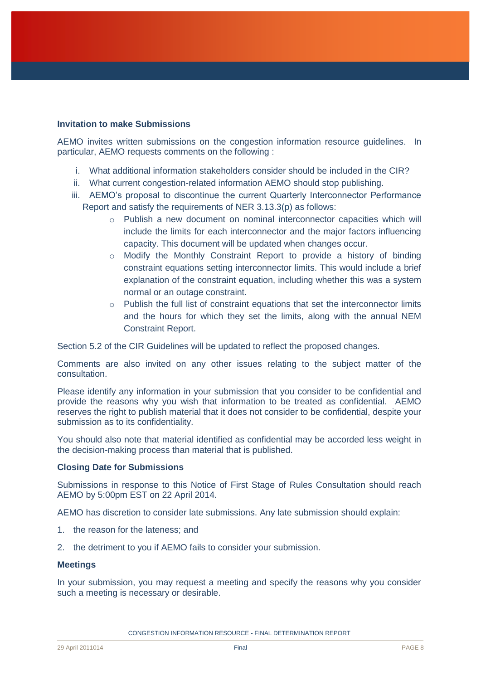#### **Invitation to make Submissions**

AEMO invites written submissions on the congestion information resource guidelines. In particular, AEMO requests comments on the following :

- i. What additional information stakeholders consider should be included in the CIR?
- ii. What current congestion-related information AEMO should stop publishing.
- iii. AEMO's proposal to discontinue the current Quarterly Interconnector Performance Report and satisfy the requirements of NER 3.13.3(p) as follows:
	- $\circ$  Publish a new document on nominal interconnector capacities which will include the limits for each interconnector and the major factors influencing capacity. This document will be updated when changes occur.
	- $\circ$  Modify the Monthly Constraint Report to provide a history of binding constraint equations setting interconnector limits. This would include a brief explanation of the constraint equation, including whether this was a system normal or an outage constraint.
	- $\circ$  Publish the full list of constraint equations that set the interconnector limits and the hours for which they set the limits, along with the annual NEM Constraint Report.

Section 5.2 of the CIR Guidelines will be updated to reflect the proposed changes.

Comments are also invited on any other issues relating to the subject matter of the consultation.

Please identify any information in your submission that you consider to be confidential and provide the reasons why you wish that information to be treated as confidential. AEMO reserves the right to publish material that it does not consider to be confidential, despite your submission as to its confidentiality.

You should also note that material identified as confidential may be accorded less weight in the decision-making process than material that is published.

#### **Closing Date for Submissions**

Submissions in response to this Notice of First Stage of Rules Consultation should reach AEMO by 5:00pm EST on 22 April 2014.

AEMO has discretion to consider late submissions. Any late submission should explain:

- 1. the reason for the lateness; and
- 2. the detriment to you if AEMO fails to consider your submission.

#### **Meetings**

In your submission, you may request a meeting and specify the reasons why you consider such a meeting is necessary or desirable.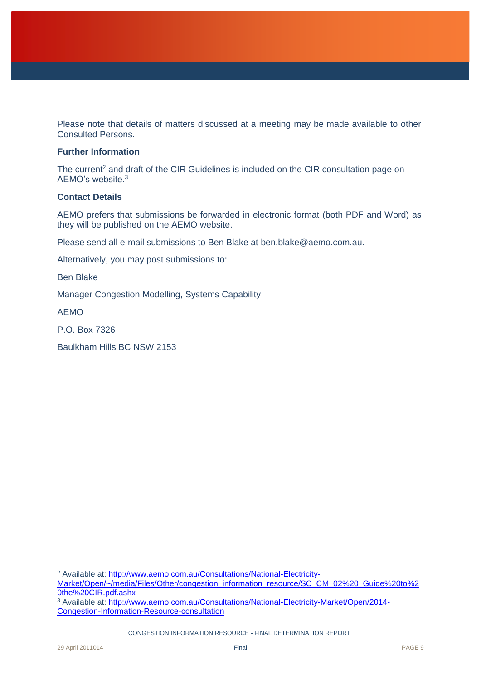Please note that details of matters discussed at a meeting may be made available to other Consulted Persons.

#### **Further Information**

The current<sup>2</sup> and draft of the CIR Guidelines is included on the CIR consultation page on AEMO's website. 3

#### **Contact Details**

AEMO prefers that submissions be forwarded in electronic format (both PDF and Word) as they will be published on the AEMO website.

Please send all e-mail submissions to Ben Blake at ben.blake@aemo.com.au.

Alternatively, you may post submissions to:

Ben Blake

Manager Congestion Modelling, Systems Capability

AEMO

P.O. Box 7326

Baulkham Hills BC NSW 2153

CONGESTION INFORMATION RESOURCE - FINAL DETERMINATION REPORT

 $\overline{a}$ 

<sup>&</sup>lt;sup>2</sup> Available at: [http://www.aemo.com.au/Consultations/National-Electricity-](http://www.aemo.com.au/Consultations/National-Electricity-Market/Open/~/media/Files/Other/congestion_information_resource/SC_CM_02%20_Guide%20to%20the%20CIR.pdf.ashx)

[Market/Open/~/media/Files/Other/congestion\\_information\\_resource/SC\\_CM\\_02%20\\_Guide%20to%2](http://www.aemo.com.au/Consultations/National-Electricity-Market/Open/~/media/Files/Other/congestion_information_resource/SC_CM_02%20_Guide%20to%20the%20CIR.pdf.ashx) [0the%20CIR.pdf.ashx](http://www.aemo.com.au/Consultations/National-Electricity-Market/Open/~/media/Files/Other/congestion_information_resource/SC_CM_02%20_Guide%20to%20the%20CIR.pdf.ashx)

<sup>&</sup>lt;sup>3</sup> Available at: [http://www.aemo.com.au/Consultations/National-Electricity-Market/Open/2014-](http://www.aemo.com.au/Consultations/National-Electricity-Market/Open/2014-Congestion-Information-Resource-consultation) [Congestion-Information-Resource-consultation](http://www.aemo.com.au/Consultations/National-Electricity-Market/Open/2014-Congestion-Information-Resource-consultation)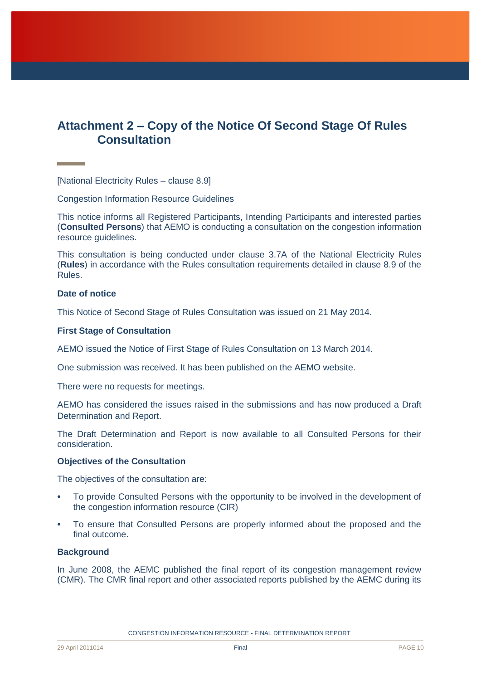# <span id="page-9-0"></span>**Attachment 2 – Copy of the Notice Of Second Stage Of Rules Consultation**

[National Electricity Rules – clause 8.9]

Congestion Information Resource Guidelines

This notice informs all Registered Participants, Intending Participants and interested parties (**Consulted Persons**) that AEMO is conducting a consultation on the congestion information resource guidelines.

This consultation is being conducted under clause 3.7A of the National Electricity Rules (**Rules**) in accordance with the Rules consultation requirements detailed in clause 8.9 of the Rules.

#### **Date of notice**

This Notice of Second Stage of Rules Consultation was issued on 21 May 2014.

#### **First Stage of Consultation**

AEMO issued the Notice of First Stage of Rules Consultation on 13 March 2014.

One submission was received. It has been published on the AEMO website.

There were no requests for meetings.

AEMO has considered the issues raised in the submissions and has now produced a Draft Determination and Report.

The Draft Determination and Report is now available to all Consulted Persons for their consideration.

#### **Objectives of the Consultation**

The objectives of the consultation are:

- To provide Consulted Persons with the opportunity to be involved in the development of the congestion information resource (CIR)
- To ensure that Consulted Persons are properly informed about the proposed and the final outcome.

#### **Background**

In June 2008, the AEMC published the final report of its congestion management review (CMR). The CMR final report and other associated reports published by the AEMC during its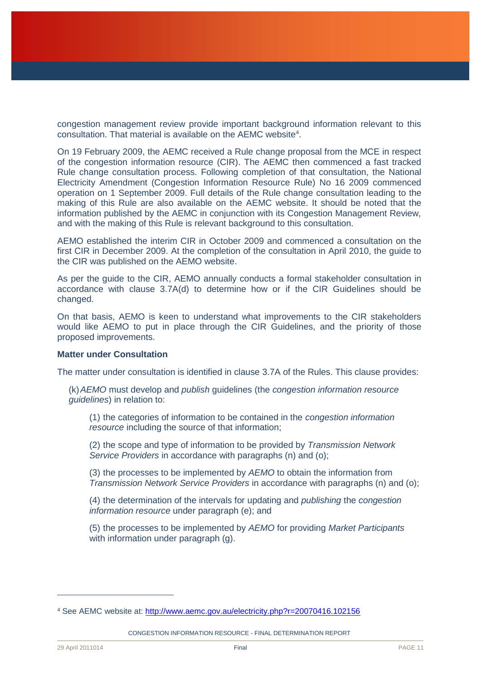congestion management review provide important background information relevant to this consultation. That material is available on the AEMC website<sup>4</sup>.

On 19 February 2009, the AEMC received a Rule change proposal from the MCE in respect of the congestion information resource (CIR). The AEMC then commenced a fast tracked Rule change consultation process. Following completion of that consultation, the National Electricity Amendment (Congestion Information Resource Rule) No 16 2009 commenced operation on 1 September 2009. Full details of the Rule change consultation leading to the making of this Rule are also available on the AEMC website. It should be noted that the information published by the AEMC in conjunction with its Congestion Management Review, and with the making of this Rule is relevant background to this consultation.

AEMO established the interim CIR in October 2009 and commenced a consultation on the first CIR in December 2009. At the completion of the consultation in April 2010, the guide to the CIR was published on the AEMO website.

As per the guide to the CIR, AEMO annually conducts a formal stakeholder consultation in accordance with clause 3.7A(d) to determine how or if the CIR Guidelines should be changed.

On that basis, AEMO is keen to understand what improvements to the CIR stakeholders would like AEMO to put in place through the CIR Guidelines, and the priority of those proposed improvements.

#### **Matter under Consultation**

The matter under consultation is identified in clause 3.7A of the Rules. This clause provides:

(k)*AEMO* must develop and *publish* guidelines (the *congestion information resource guidelines*) in relation to:

(1) the categories of information to be contained in the *congestion information resource* including the source of that information;

(2) the scope and type of information to be provided by *Transmission Network Service Providers* in accordance with paragraphs (n) and (o);

(3) the processes to be implemented by *AEMO* to obtain the information from *Transmission Network Service Providers* in accordance with paragraphs (n) and (o);

(4) the determination of the intervals for updating and *publishing* the *congestion information resource* under paragraph (e); and

(5) the processes to be implemented by *AEMO* for providing *Market Participants*  with information under paragraph (g).

CONGESTION INFORMATION RESOURCE - FINAL DETERMINATION REPORT

 $\overline{a}$ 

<sup>4</sup> See AEMC website at:<http://www.aemc.gov.au/electricity.php?r=20070416.102156>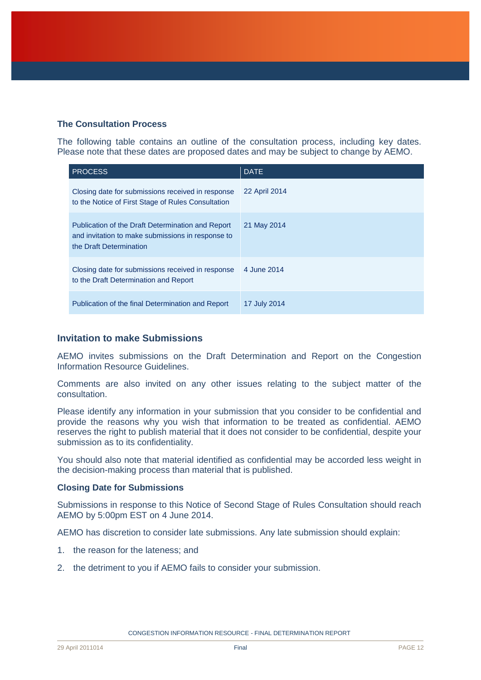#### **The Consultation Process**

The following table contains an outline of the consultation process, including key dates. Please note that these dates are proposed dates and may be subject to change by AEMO.

| <b>PROCESS</b>                                                                                                                    | <b>DATE</b>   |
|-----------------------------------------------------------------------------------------------------------------------------------|---------------|
| Closing date for submissions received in response<br>to the Notice of First Stage of Rules Consultation                           | 22 April 2014 |
| Publication of the Draft Determination and Report<br>and invitation to make submissions in response to<br>the Draft Determination | 21 May 2014   |
| Closing date for submissions received in response<br>to the Draft Determination and Report                                        | 4 June 2014   |
| Publication of the final Determination and Report                                                                                 | 17 July 2014  |

#### **Invitation to make Submissions**

AEMO invites submissions on the Draft Determination and Report on the Congestion Information Resource Guidelines.

Comments are also invited on any other issues relating to the subject matter of the consultation.

Please identify any information in your submission that you consider to be confidential and provide the reasons why you wish that information to be treated as confidential. AEMO reserves the right to publish material that it does not consider to be confidential, despite your submission as to its confidentiality.

You should also note that material identified as confidential may be accorded less weight in the decision-making process than material that is published.

#### **Closing Date for Submissions**

Submissions in response to this Notice of Second Stage of Rules Consultation should reach AEMO by 5:00pm EST on 4 June 2014.

AEMO has discretion to consider late submissions. Any late submission should explain:

- 1. the reason for the lateness; and
- 2. the detriment to you if AEMO fails to consider your submission.